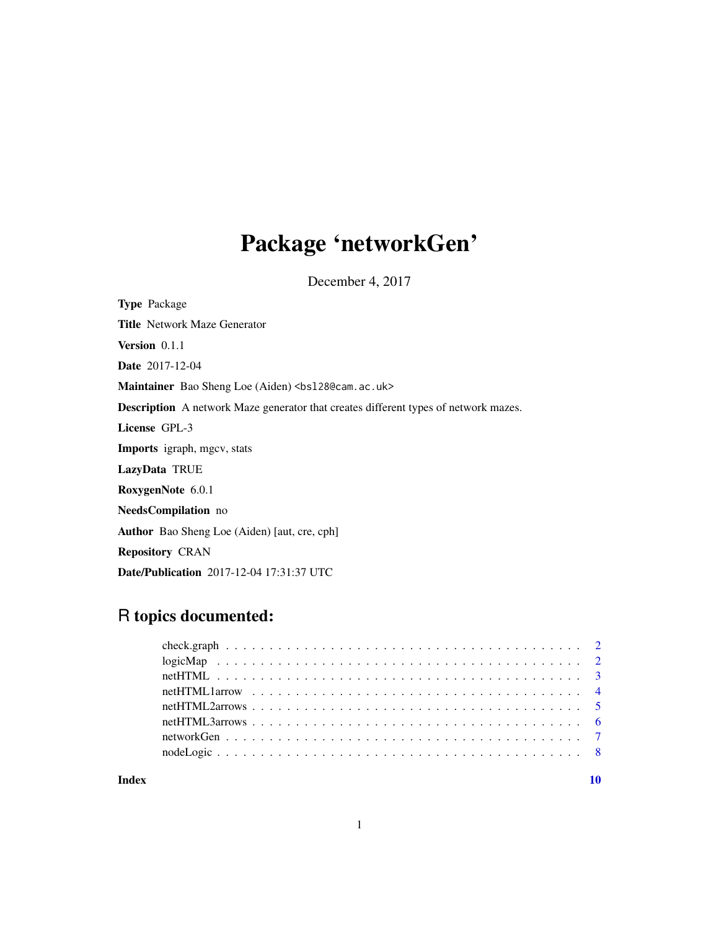## Package 'networkGen'

December 4, 2017

Type Package Title Network Maze Generator Version 0.1.1 Date 2017-12-04 Maintainer Bao Sheng Loe (Aiden) <br/>bs128@cam.ac.uk> Description A network Maze generator that creates different types of network mazes. License GPL-3 Imports igraph, mgcv, stats LazyData TRUE RoxygenNote 6.0.1 NeedsCompilation no Author Bao Sheng Loe (Aiden) [aut, cre, cph] Repository CRAN Date/Publication 2017-12-04 17:31:37 UTC

### R topics documented:

 $\blacksquare$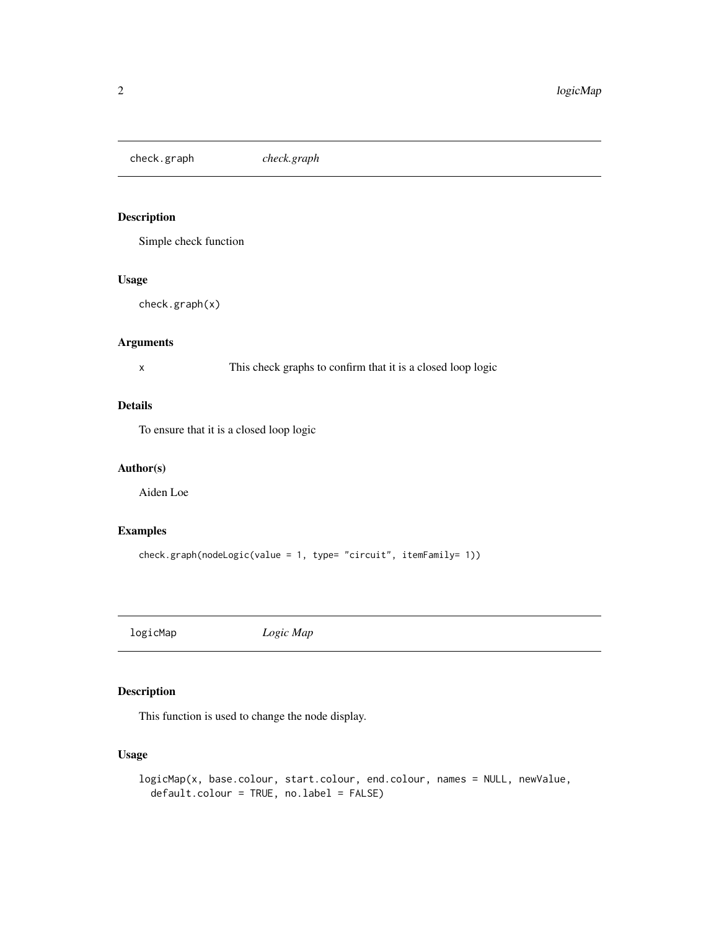<span id="page-1-0"></span>check.graph *check.graph*

#### Description

Simple check function

#### Usage

check.graph(x)

#### Arguments

x This check graphs to confirm that it is a closed loop logic

#### Details

To ensure that it is a closed loop logic

#### Author(s)

Aiden Loe

#### Examples

check.graph(nodeLogic(value = 1, type= "circuit", itemFamily= 1))

logicMap *Logic Map*

#### Description

This function is used to change the node display.

```
logicMap(x, base.colour, start.colour, end.colour, names = NULL, newValue,
  default.colour = TRUE, no.label = FALSE)
```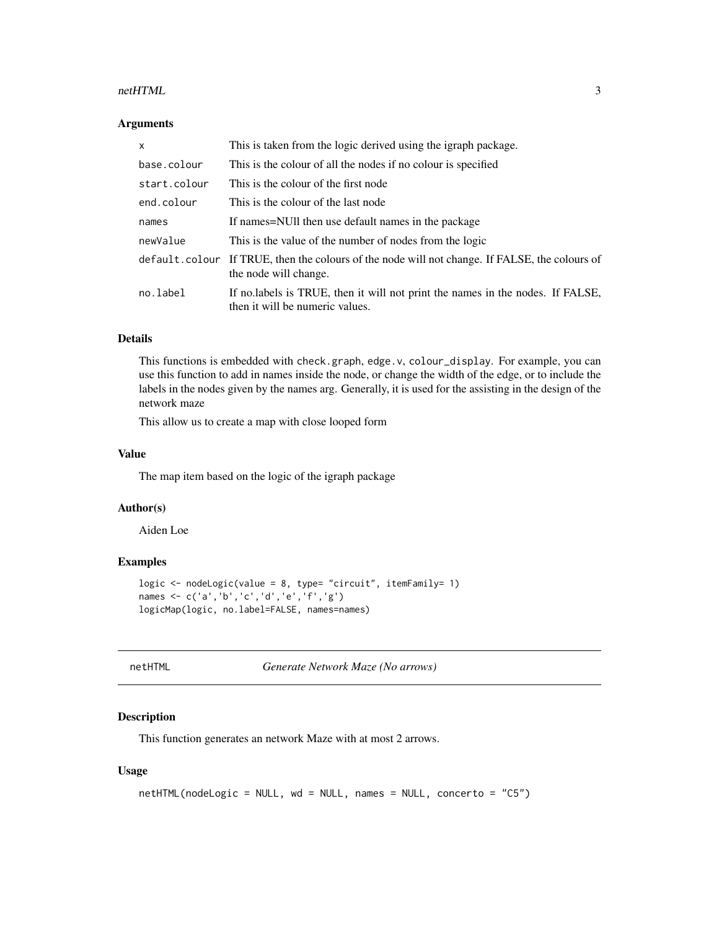#### <span id="page-2-0"></span>netHTML 3

#### Arguments

| x            | This is taken from the logic derived using the igraph package.                                                          |
|--------------|-------------------------------------------------------------------------------------------------------------------------|
| base.colour  | This is the colour of all the nodes if no colour is specified                                                           |
| start.colour | This is the colour of the first node                                                                                    |
| end.colour   | This is the colour of the last node                                                                                     |
| names        | If names=NUII then use default names in the package                                                                     |
| newValue     | This is the value of the number of nodes from the logic                                                                 |
|              | default.colour If TRUE, then the colours of the node will not change. If FALSE, the colours of<br>the node will change. |
| no.label     | If no labels is TRUE, then it will not print the names in the nodes. If FALSE,<br>then it will be numeric values.       |

#### Details

This functions is embedded with check.graph, edge.v, colour\_display. For example, you can use this function to add in names inside the node, or change the width of the edge, or to include the labels in the nodes given by the names arg. Generally, it is used for the assisting in the design of the network maze

This allow us to create a map with close looped form

#### Value

The map item based on the logic of the igraph package

#### Author(s)

Aiden Loe

#### Examples

```
logic <- nodeLogic(value = 8, type= "circuit", itemFamily= 1)
names <- c('a','b','c','d','e','f','g')
logicMap(logic, no.label=FALSE, names=names)
```

```
netHTML Generate Network Maze (No arrows)
```
#### Description

This function generates an network Maze with at most 2 arrows.

```
netHTML(nodeLogic = NULL, wd = NULL, names = NULL, concerto = "C5")
```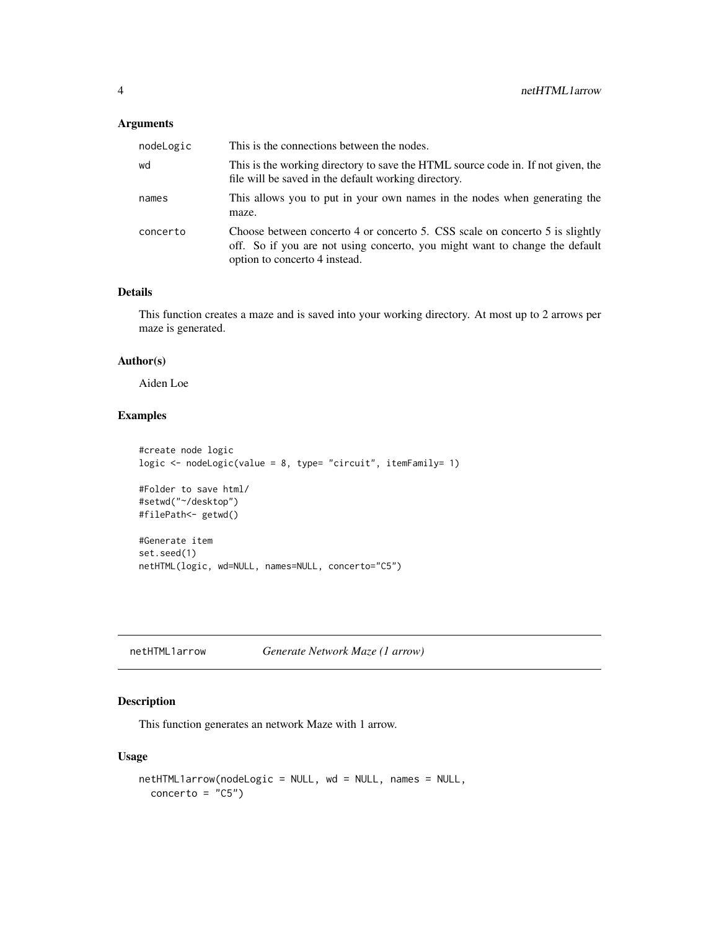#### <span id="page-3-0"></span>Arguments

| nodeLogic | This is the connections between the nodes.                                                                                                                                                   |
|-----------|----------------------------------------------------------------------------------------------------------------------------------------------------------------------------------------------|
| wd        | This is the working directory to save the HTML source code in. If not given, the<br>file will be saved in the default working directory.                                                     |
| names     | This allows you to put in your own names in the nodes when generating the<br>maze.                                                                                                           |
| concerto  | Choose between concerto 4 or concerto 5. CSS scale on concerto 5 is slightly<br>off. So if you are not using concerto, you might want to change the default<br>option to concerto 4 instead. |

#### Details

This function creates a maze and is saved into your working directory. At most up to 2 arrows per maze is generated.

#### Author(s)

Aiden Loe

#### Examples

```
#create node logic
logic <- nodeLogic(value = 8, type= "circuit", itemFamily= 1)
#Folder to save html/
#setwd("~/desktop")
#filePath<- getwd()
#Generate item
set.seed(1)
netHTML(logic, wd=NULL, names=NULL, concerto="C5")
```
<span id="page-3-1"></span>netHTML1arrow *Generate Network Maze (1 arrow)*

#### Description

This function generates an network Maze with 1 arrow.

```
netHTML1arrow(nodeLogic = NULL, wd = NULL, names = NULL,
 concerto = "C5")
```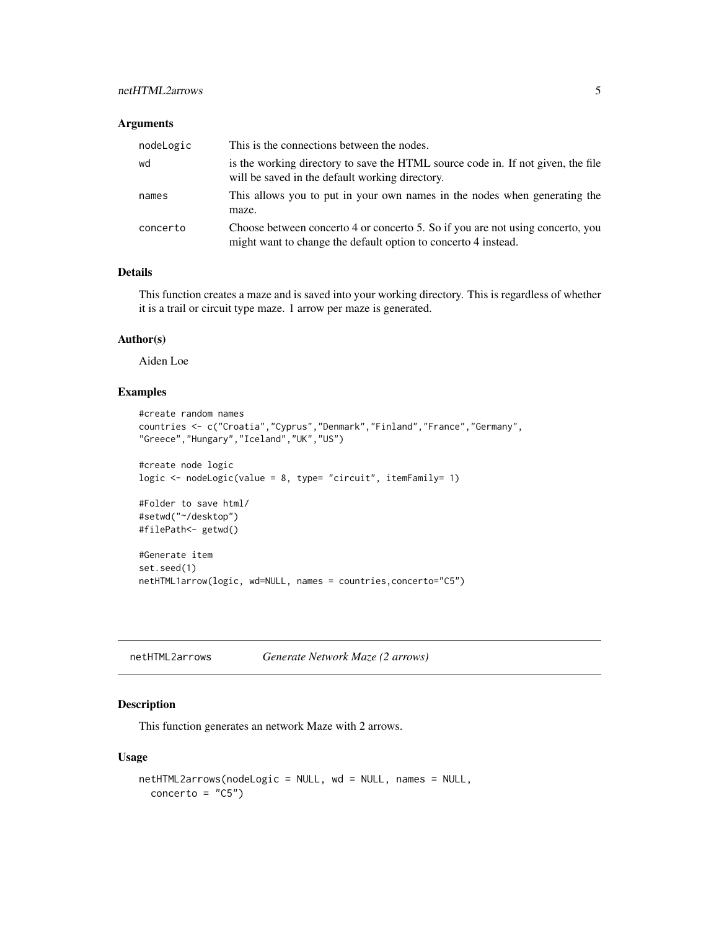#### <span id="page-4-0"></span>netHTML2arrows 5

#### Arguments

| nodeLogic | This is the connections between the nodes.                                                                                                       |
|-----------|--------------------------------------------------------------------------------------------------------------------------------------------------|
| wd        | is the working directory to save the HTML source code in. If not given, the file<br>will be saved in the default working directory.              |
| names     | This allows you to put in your own names in the nodes when generating the<br>maze.                                                               |
| concerto  | Choose between concerto 4 or concerto 5. So if you are not using concerto, you<br>might want to change the default option to concerto 4 instead. |

#### Details

This function creates a maze and is saved into your working directory. This is regardless of whether it is a trail or circuit type maze. 1 arrow per maze is generated.

#### Author(s)

Aiden Loe

#### Examples

```
#create random names
countries <- c("Croatia","Cyprus","Denmark","Finland","France","Germany",
"Greece","Hungary","Iceland","UK","US")
#create node logic
logic <- nodeLogic(value = 8, type= "circuit", itemFamily= 1)
#Folder to save html/
#setwd("~/desktop")
#filePath<- getwd()
#Generate item
set.seed(1)
netHTML1arrow(logic, wd=NULL, names = countries,concerto="C5")
```
<span id="page-4-1"></span>

| netHTML2arrows | Generate Network Maze (2 arrows) |  |
|----------------|----------------------------------|--|
|----------------|----------------------------------|--|

#### Description

This function generates an network Maze with 2 arrows.

```
netHTML2arrows(nodeLogic = NULL, wd = NULL, names = NULL,
 concerto = "C5")
```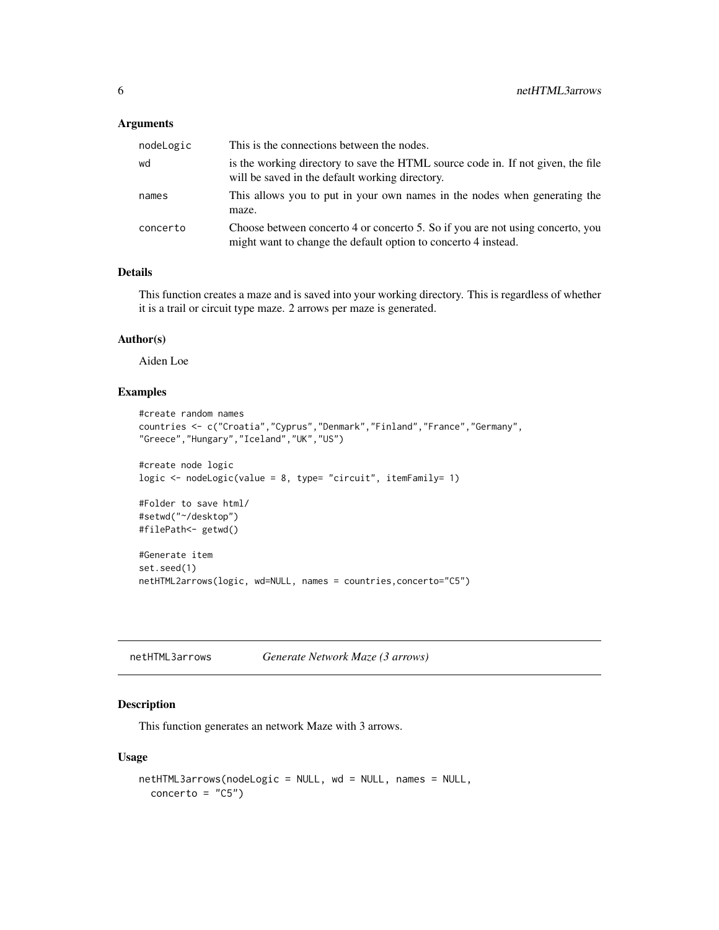#### <span id="page-5-0"></span>Arguments

| nodeLogic | This is the connections between the nodes.                                                                                                       |
|-----------|--------------------------------------------------------------------------------------------------------------------------------------------------|
| wd        | is the working directory to save the HTML source code in. If not given, the file<br>will be saved in the default working directory.              |
| names     | This allows you to put in your own names in the nodes when generating the<br>maze.                                                               |
| concerto  | Choose between concerto 4 or concerto 5. So if you are not using concerto, you<br>might want to change the default option to concerto 4 instead. |

#### Details

This function creates a maze and is saved into your working directory. This is regardless of whether it is a trail or circuit type maze. 2 arrows per maze is generated.

#### Author(s)

Aiden Loe

#### Examples

```
#create random names
countries <- c("Croatia","Cyprus","Denmark","Finland","France","Germany",
"Greece","Hungary","Iceland","UK","US")
#create node logic
logic <- nodeLogic(value = 8, type= "circuit", itemFamily= 1)
#Folder to save html/
#setwd("~/desktop")
#filePath<- getwd()
#Generate item
set.seed(1)
netHTML2arrows(logic, wd=NULL, names = countries,concerto="C5")
```
<span id="page-5-1"></span>

| netHTML3arrows | Generate Network Maze (3 arrows) |  |
|----------------|----------------------------------|--|
|----------------|----------------------------------|--|

#### Description

This function generates an network Maze with 3 arrows.

```
netHTML3arrows(nodeLogic = NULL, wd = NULL, names = NULL,
 concerto = "C5")
```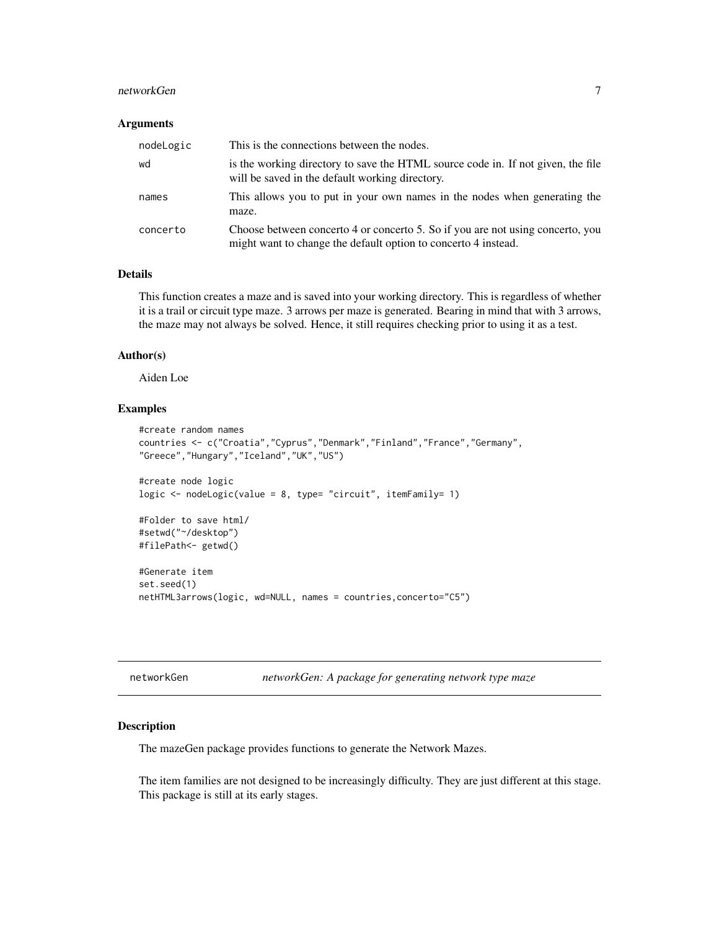#### <span id="page-6-0"></span>networkGen 7

#### **Arguments**

| nodeLogic | This is the connections between the nodes.                                                                                                       |
|-----------|--------------------------------------------------------------------------------------------------------------------------------------------------|
| wd        | is the working directory to save the HTML source code in. If not given, the file<br>will be saved in the default working directory.              |
| names     | This allows you to put in your own names in the nodes when generating the<br>maze.                                                               |
| concerto  | Choose between concerto 4 or concerto 5. So if you are not using concerto, you<br>might want to change the default option to concerto 4 instead. |

#### Details

This function creates a maze and is saved into your working directory. This is regardless of whether it is a trail or circuit type maze. 3 arrows per maze is generated. Bearing in mind that with 3 arrows, the maze may not always be solved. Hence, it still requires checking prior to using it as a test.

#### Author(s)

Aiden Loe

#### Examples

```
#create random names
countries <- c("Croatia","Cyprus","Denmark","Finland","France","Germany",
"Greece","Hungary","Iceland","UK","US")
#create node logic
logic <- nodeLogic(value = 8, type= "circuit", itemFamily= 1)
#Folder to save html/
#setwd("~/desktop")
#filePath<- getwd()
#Generate item
set.seed(1)
netHTML3arrows(logic, wd=NULL, names = countries,concerto="C5")
```

| networkGen |  |  |  |  |
|------------|--|--|--|--|
|------------|--|--|--|--|

networkGen *networkGen: A package for generating network type maze*

#### Description

The mazeGen package provides functions to generate the Network Mazes.

The item families are not designed to be increasingly difficulty. They are just different at this stage. This package is still at its early stages.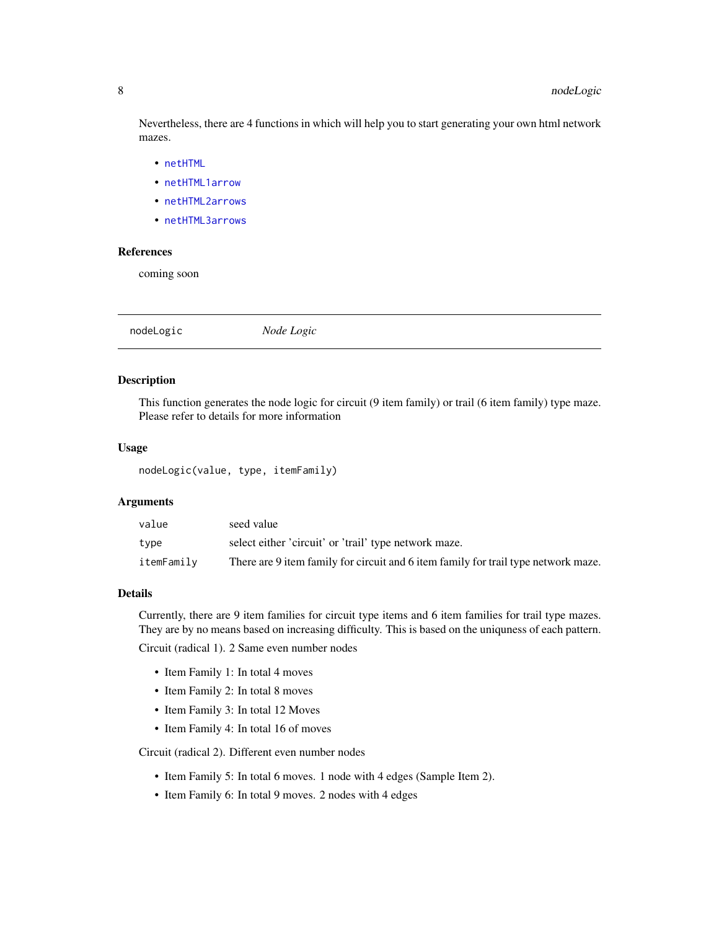<span id="page-7-0"></span>Nevertheless, there are 4 functions in which will help you to start generating your own html network mazes.

- [netHTML](#page-2-1)
- [netHTML1arrow](#page-3-1)
- [netHTML2arrows](#page-4-1)
- [netHTML3arrows](#page-5-1)

#### References

coming soon

nodeLogic *Node Logic*

#### Description

This function generates the node logic for circuit (9 item family) or trail (6 item family) type maze. Please refer to details for more information

#### Usage

nodeLogic(value, type, itemFamily)

#### Arguments

| value      | seed value                                                                         |
|------------|------------------------------------------------------------------------------------|
| type       | select either 'circuit' or 'trail' type network maze.                              |
| itemFamily | There are 9 item family for circuit and 6 item family for trail type network maze. |

#### Details

Currently, there are 9 item families for circuit type items and 6 item families for trail type mazes. They are by no means based on increasing difficulty. This is based on the uniquness of each pattern.

Circuit (radical 1). 2 Same even number nodes

- Item Family 1: In total 4 moves
- Item Family 2: In total 8 moves
- Item Family 3: In total 12 Moves
- Item Family 4: In total 16 of moves

Circuit (radical 2). Different even number nodes

- Item Family 5: In total 6 moves. 1 node with 4 edges (Sample Item 2).
- Item Family 6: In total 9 moves. 2 nodes with 4 edges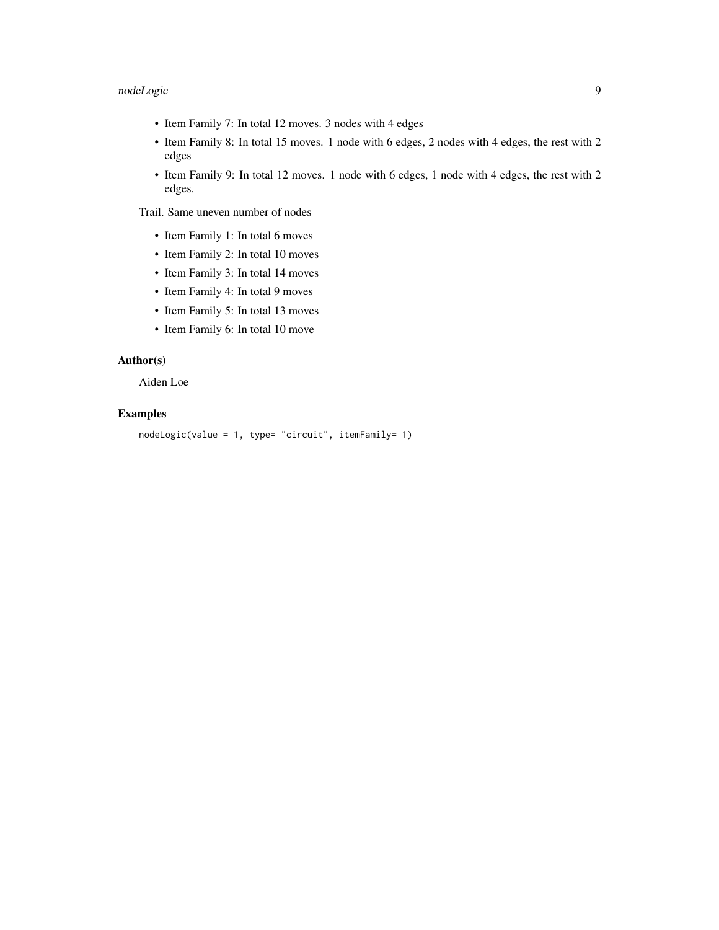### nodeLogic 9

- Item Family 7: In total 12 moves. 3 nodes with 4 edges
- Item Family 8: In total 15 moves. 1 node with 6 edges, 2 nodes with 4 edges, the rest with 2 edges
- Item Family 9: In total 12 moves. 1 node with 6 edges, 1 node with 4 edges, the rest with 2 edges.

Trail. Same uneven number of nodes

- Item Family 1: In total 6 moves
- Item Family 2: In total 10 moves
- Item Family 3: In total 14 moves
- Item Family 4: In total 9 moves
- Item Family 5: In total 13 moves
- Item Family 6: In total 10 move

#### Author(s)

Aiden Loe

#### Examples

```
nodeLogic(value = 1, type= "circuit", itemFamily= 1)
```